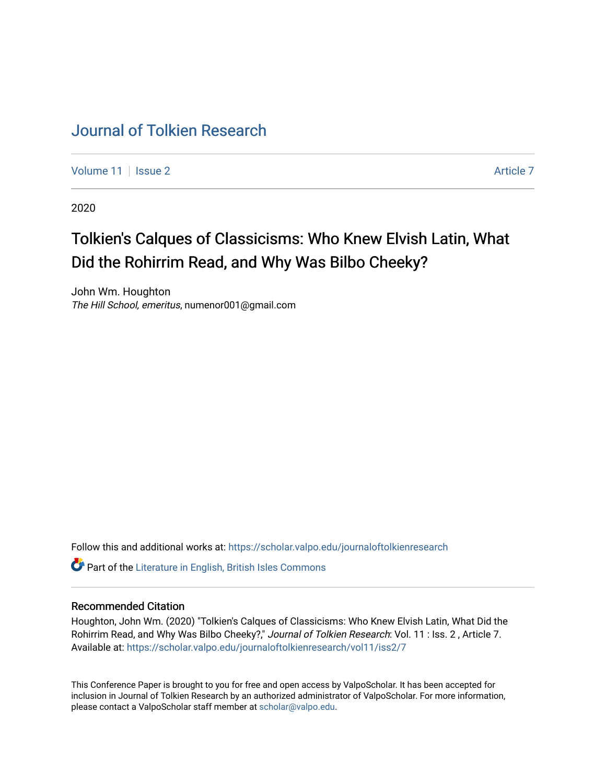## [Journal of Tolkien Research](https://scholar.valpo.edu/journaloftolkienresearch)

[Volume 11](https://scholar.valpo.edu/journaloftolkienresearch/vol11) | [Issue 2](https://scholar.valpo.edu/journaloftolkienresearch/vol11/iss2) Article 7

2020

# Tolkien's Calques of Classicisms: Who Knew Elvish Latin, What Did the Rohirrim Read, and Why Was Bilbo Cheeky?

John Wm. Houghton The Hill School, emeritus, numenor001@gmail.com

Follow this and additional works at: [https://scholar.valpo.edu/journaloftolkienresearch](https://scholar.valpo.edu/journaloftolkienresearch?utm_source=scholar.valpo.edu%2Fjournaloftolkienresearch%2Fvol11%2Fiss2%2F7&utm_medium=PDF&utm_campaign=PDFCoverPages) 

**C** Part of the [Literature in English, British Isles Commons](http://network.bepress.com/hgg/discipline/456?utm_source=scholar.valpo.edu%2Fjournaloftolkienresearch%2Fvol11%2Fiss2%2F7&utm_medium=PDF&utm_campaign=PDFCoverPages)

#### Recommended Citation

Houghton, John Wm. (2020) "Tolkien's Calques of Classicisms: Who Knew Elvish Latin, What Did the Rohirrim Read, and Why Was Bilbo Cheeky?," Journal of Tolkien Research: Vol. 11 : Iss. 2, Article 7. Available at: [https://scholar.valpo.edu/journaloftolkienresearch/vol11/iss2/7](https://scholar.valpo.edu/journaloftolkienresearch/vol11/iss2/7?utm_source=scholar.valpo.edu%2Fjournaloftolkienresearch%2Fvol11%2Fiss2%2F7&utm_medium=PDF&utm_campaign=PDFCoverPages) 

This Conference Paper is brought to you for free and open access by ValpoScholar. It has been accepted for inclusion in Journal of Tolkien Research by an authorized administrator of ValpoScholar. For more information, please contact a ValpoScholar staff member at [scholar@valpo.edu](mailto:scholar@valpo.edu).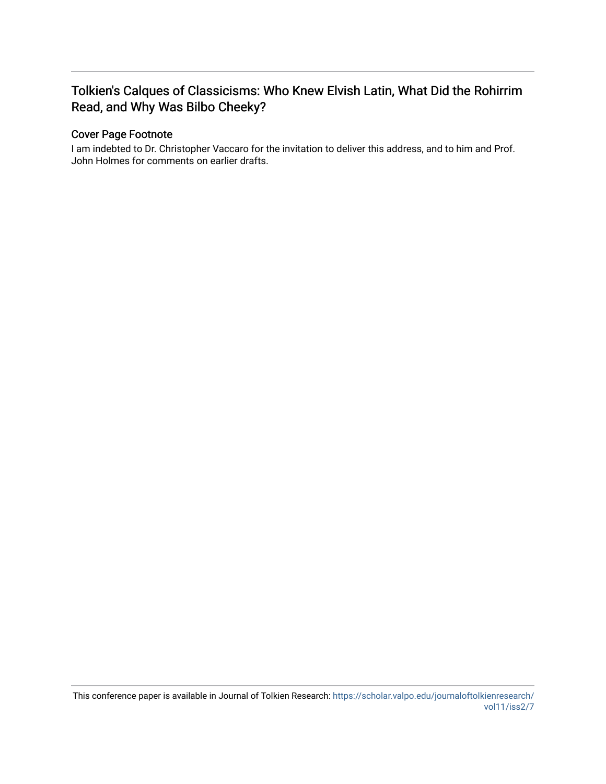### Tolkien's Calques of Classicisms: Who Knew Elvish Latin, What Did the Rohirrim Read, and Why Was Bilbo Cheeky?

#### Cover Page Footnote

I am indebted to Dr. Christopher Vaccaro for the invitation to deliver this address, and to him and Prof. John Holmes for comments on earlier drafts.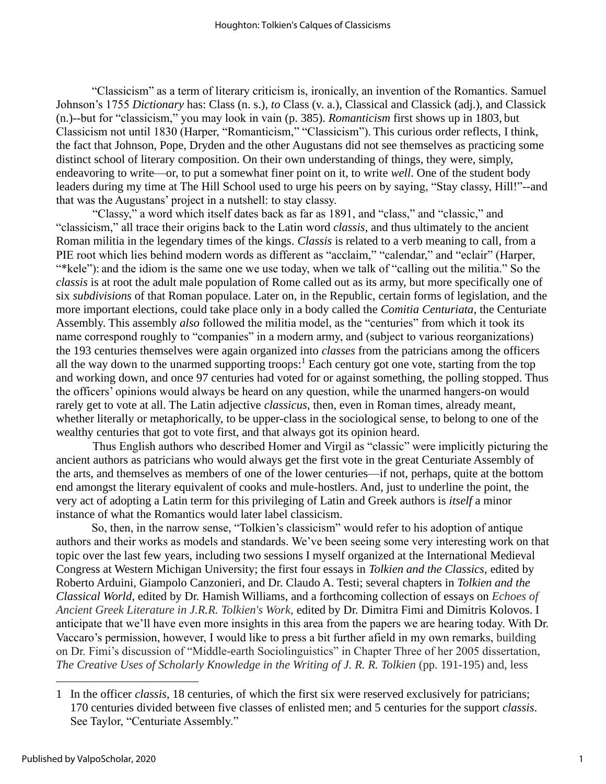"Classicism" as a term of literary criticism is, ironically, an invention of the Romantics. Samuel Johnson's 1755 *Dictionary* has: Class (n. s.), *to* Class (v. a.), Classical and Classick (adj.), and Classick (n.)--but for "classicism," you may look in vain (p. 385). *Romanticism* first shows up in 1803, but Classicism not until 1830 (Harper, "Romanticism," "Classicism"). This curious order reflects, I think, the fact that Johnson, Pope, Dryden and the other Augustans did not see themselves as practicing some distinct school of literary composition. On their own understanding of things, they were, simply, endeavoring to write—or, to put a somewhat finer point on it, to write *well*. One of the student body leaders during my time at The Hill School used to urge his peers on by saying, "Stay classy, Hill!"--and that was the Augustans' project in a nutshell: to stay classy.

"Classy," a word which itself dates back as far as 1891, and "class," and "classic," and "classicism," all trace their origins back to the Latin word *classis*, and thus ultimately to the ancient Roman militia in the legendary times of the kings. *Classis* is related to a verb meaning to call, from a PIE root which lies behind modern words as different as "acclaim," "calendar," and "eclair" (Harper, "\*kele"): and the idiom is the same one we use today, when we talk of "calling out the militia." So the *classis* is at root the adult male population of Rome called out as its army, but more specifically one of six *subdivisions* of that Roman populace. Later on, in the Republic, certain forms of legislation, and the more important elections, could take place only in a body called the *Comitia Centuriata*, the Centuriate Assembly. This assembly *also* followed the militia model, as the "centuries" from which it took its name correspond roughly to "companies" in a modern army, and (subject to various reorganizations) the 193 centuries themselves were again organized into *classes* from the patricians among the officers all the way down to the unarmed supporting troops: $<sup>1</sup>$  Each century got one vote, starting from the top</sup> and working down, and once 97 centuries had voted for or against something, the polling stopped. Thus the officers' opinions would always be heard on any question, while the unarmed hangers-on would rarely get to vote at all. The Latin adjective *classicus*, then, even in Roman times, already meant, whether literally or metaphorically, to be upper-class in the sociological sense, to belong to one of the wealthy centuries that got to vote first, and that always got its opinion heard.

Thus English authors who described Homer and Virgil as "classic" were implicitly picturing the ancient authors as patricians who would always get the first vote in the great Centuriate Assembly of the arts, and themselves as members of one of the lower centuries—if not, perhaps, quite at the bottom end amongst the literary equivalent of cooks and mule-hostlers. And, just to underline the point, the very act of adopting a Latin term for this privileging of Latin and Greek authors is *itself* a minor instance of what the Romantics would later label classicism.

So, then, in the narrow sense, "Tolkien's classicism" would refer to his adoption of antique authors and their works as models and standards. We've been seeing some very interesting work on that topic over the last few years, including two sessions I myself organized at the International Medieval Congress at Western Michigan University; the first four essays in *Tolkien and the Classics*, edited by Roberto Arduini, Giampolo Canzonieri, and Dr. Claudo A. Testi; several chapters in *Tolkien and the Classical World*, edited by Dr. Hamish Williams, and a forthcoming collection of essays on *Echoes of Ancient Greek Literature in J.R.R. Tolkien's Work,* edited by Dr. Dimitra Fimi and Dimitris Kolovos. I anticipate that we'll have even more insights in this area from the papers we are hearing today. With Dr. Vaccaro's permission, however, I would like to press a bit further afield in my own remarks, building on Dr. Fimi's discussion of "Middle-earth Sociolinguistics" in Chapter Three of her 2005 dissertation, *The Creative Uses of Scholarly Knowledge in the Writing of J. R. R. Tolkien* (pp. 191-195) and, less

<sup>1</sup> In the officer *classis*, 18 centuries, of which the first six were reserved exclusively for patricians; 170 centuries divided between five classes of enlisted men; and 5 centuries for the support *classis*. See Taylor, "Centuriate Assembly."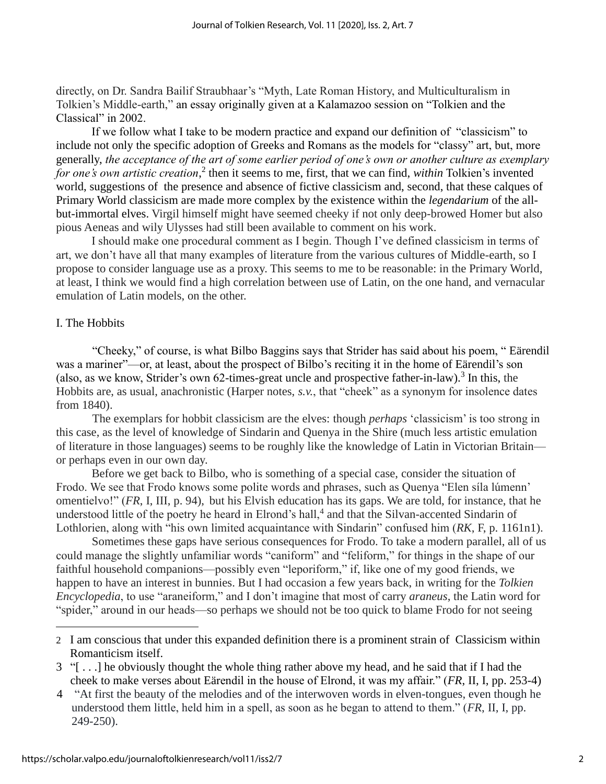directly, on Dr. Sandra Bailif Straubhaar's "Myth, Late Roman History, and Multiculturalism in Tolkien's Middle-earth," an essay originally given at a Kalamazoo session on "Tolkien and the Classical" in 2002.

If we follow what I take to be modern practice and expand our definition of "classicism" to include not only the specific adoption of Greeks and Romans as the models for "classy" art, but, more generally, *the acceptance of the art of some earlier period of one's own or another culture as exemplary*  for one's own artistic creation,<sup>2</sup> then it seems to me, first, that we can find, *within* Tolkien's invented world, suggestions of the presence and absence of fictive classicism and, second, that these calques of Primary World classicism are made more complex by the existence within the *legendarium* of the allbut-immortal elves. Virgil himself might have seemed cheeky if not only deep-browed Homer but also pious Aeneas and wily Ulysses had still been available to comment on his work.

I should make one procedural comment as I begin. Though I've defined classicism in terms of art, we don't have all that many examples of literature from the various cultures of Middle-earth, so I propose to consider language use as a proxy. This seems to me to be reasonable: in the Primary World, at least, I think we would find a high correlation between use of Latin, on the one hand, and vernacular emulation of Latin models, on the other.

#### I. The Hobbits

"Cheeky," of course, is what Bilbo Baggins says that Strider has said about his poem, " Eärendil was a mariner"—or, at least, about the prospect of Bilbo's reciting it in the home of Eärendil's son (also, as we know, Strider's own 62-times-great uncle and prospective father-in-law).<sup>3</sup> In this, the Hobbits are, as usual, anachronistic (Harper notes, *s.v.*, that "cheek" as a synonym for insolence dates from 1840).

The exemplars for hobbit classicism are the elves: though *perhaps* 'classicism' is too strong in this case, as the level of knowledge of Sindarin and Quenya in the Shire (much less artistic emulation of literature in those languages) seems to be roughly like the knowledge of Latin in Victorian Britain or perhaps even in our own day.

Before we get back to Bilbo, who is something of a special case, consider the situation of Frodo. We see that Frodo knows some polite words and phrases, such as Quenya "Elen síla lúmenn' omentielvo!" (*FR*, I, III, p. 94), but his Elvish education has its gaps. We are told, for instance, that he understood little of the poetry he heard in Elrond's hall,<sup>4</sup> and that the Silvan-accented Sindarin of Lothlorien, along with "his own limited acquaintance with Sindarin" confused him (*RK*, F, p. 1161n1).

Sometimes these gaps have serious consequences for Frodo. To take a modern parallel, all of us could manage the slightly unfamiliar words "caniform" and "feliform," for things in the shape of our faithful household companions—possibly even "leporiform," if, like one of my good friends, we happen to have an interest in bunnies. But I had occasion a few years back, in writing for the *Tolkien Encyclopedia*, to use "araneiform," and I don't imagine that most of carry *araneus*, the Latin word for "spider," around in our heads—so perhaps we should not be too quick to blame Frodo for not seeing

<sup>2</sup> I am conscious that under this expanded definition there is a prominent strain of Classicism within Romanticism itself.

<sup>3</sup> "[ . . .] he obviously thought the whole thing rather above my head, and he said that if I had the cheek to make verses about Eärendil in the house of Elrond, it was my affair." (*FR*, II, I, pp. 253-4)

<sup>4</sup> "At first the beauty of the melodies and of the interwoven words in elven-tongues, even though he understood them little, held him in a spell, as soon as he began to attend to them." (*FR*, II, I, pp. 249-250).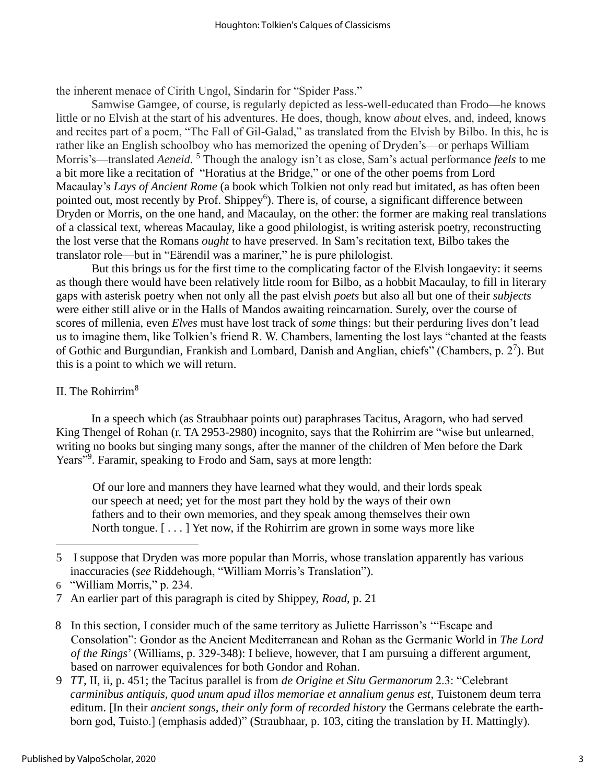the inherent menace of Cirith Ungol, Sindarin for "Spider Pass."

Samwise Gamgee, of course, is regularly depicted as less-well-educated than Frodo—he knows little or no Elvish at the start of his adventures. He does, though, know *about* elves, and, indeed, knows and recites part of a poem, "The Fall of Gil-Galad," as translated from the Elvish by Bilbo. In this, he is rather like an English schoolboy who has memorized the opening of Dryden's—or perhaps William Morris's—translated *Aeneid.* <sup>5</sup> Though the analogy isn't as close, Sam's actual performance *feels* to me a bit more like a recitation of "Horatius at the Bridge," or one of the other poems from Lord Macaulay's *Lays of Ancient Rome* (a book which Tolkien not only read but imitated, as has often been pointed out, most recently by Prof. Shippey<sup>6</sup>). There is, of course, a significant difference between Dryden or Morris, on the one hand, and Macaulay, on the other: the former are making real translations of a classical text, whereas Macaulay, like a good philologist, is writing asterisk poetry, reconstructing the lost verse that the Romans *ought* to have preserved. In Sam's recitation text, Bilbo takes the translator role—but in "Eärendil was a mariner," he is pure philologist.

But this brings us for the first time to the complicating factor of the Elvish longaevity: it seems as though there would have been relatively little room for Bilbo, as a hobbit Macaulay, to fill in literary gaps with asterisk poetry when not only all the past elvish *poets* but also all but one of their *subjects* were either still alive or in the Halls of Mandos awaiting reincarnation. Surely, over the course of scores of millenia, even *Elves* must have lost track of *some* things: but their perduring lives don't lead us to imagine them, like Tolkien's friend R. W. Chambers, lamenting the lost lays "chanted at the feasts of Gothic and Burgundian, Frankish and Lombard, Danish and Anglian, chiefs" (Chambers, p.  $2^7$ ). But this is a point to which we will return.

#### II. The Rohirrim<sup>8</sup>

In a speech which (as Straubhaar points out) paraphrases Tacitus, Aragorn, who had served King Thengel of Rohan (r. TA 2953-2980) incognito, says that the Rohirrim are "wise but unlearned, writing no books but singing many songs, after the manner of the children of Men before the Dark Years"<sup>9</sup>. Faramir, speaking to Frodo and Sam, says at more length:

Of our lore and manners they have learned what they would, and their lords speak our speech at need; yet for the most part they hold by the ways of their own fathers and to their own memories, and they speak among themselves their own North tongue. [ . . . ] Yet now, if the Rohirrim are grown in some ways more like

- 8 In this section, I consider much of the same territory as Juliette Harrisson's '"Escape and Consolation": Gondor as the Ancient Mediterranean and Rohan as the Germanic World in *The Lord of the Rings*' (Williams, p. 329-348): I believe, however, that I am pursuing a different argument, based on narrower equivalences for both Gondor and Rohan.
- 9 *TT*, II, ii, p. 451; the Tacitus parallel is from *de Origine et Situ Germanorum* 2.3: "Celebrant *carminibus antiquis, quod unum apud illos memoriae et annalium genus est*, Tuistonem deum terra editum. [In their *ancient songs, their only form of recorded history* the Germans celebrate the earthborn god, Tuisto.] (emphasis added)" (Straubhaar, p. 103, citing the translation by H. Mattingly).

<sup>5</sup> I suppose that Dryden was more popular than Morris, whose translation apparently has various inaccuracies (*see* Riddehough, "William Morris's Translation").

<sup>6</sup> "William Morris," p. 234.

<sup>7</sup> An earlier part of this paragraph is cited by Shippey, *Road*, p. 21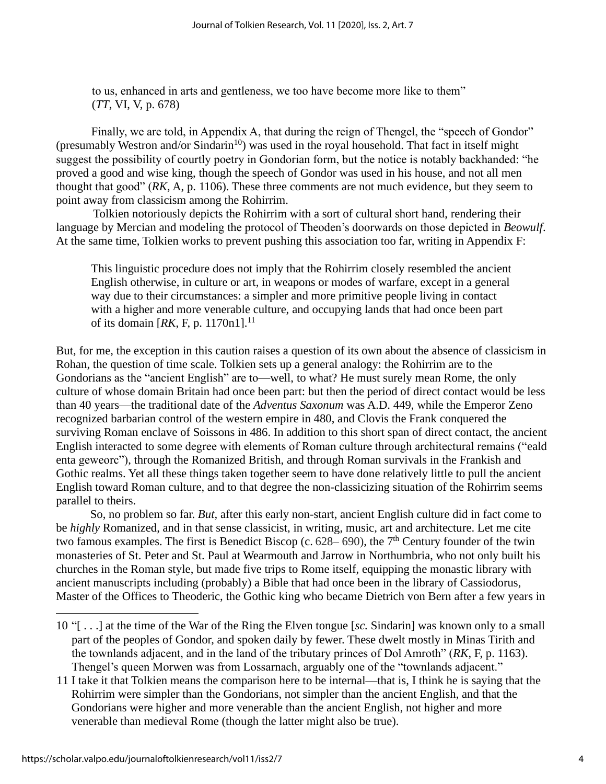to us, enhanced in arts and gentleness, we too have become more like to them" (*TT*, VI, V, p. 678)

Finally, we are told, in Appendix A, that during the reign of Thengel, the "speech of Gondor" (presumably Westron and/or Sindarin<sup>10</sup>) was used in the royal household. That fact in itself might suggest the possibility of courtly poetry in Gondorian form, but the notice is notably backhanded: "he proved a good and wise king, though the speech of Gondor was used in his house, and not all men thought that good" (*RK*, A, p. 1106). These three comments are not much evidence, but they seem to point away from classicism among the Rohirrim.

Tolkien notoriously depicts the Rohirrim with a sort of cultural short hand, rendering their language by Mercian and modeling the protocol of Theoden's doorwards on those depicted in *Beowulf*. At the same time, Tolkien works to prevent pushing this association too far, writing in Appendix F:

This linguistic procedure does not imply that the Rohirrim closely resembled the ancient English otherwise, in culture or art, in weapons or modes of warfare, except in a general way due to their circumstances: a simpler and more primitive people living in contact with a higher and more venerable culture, and occupying lands that had once been part of its domain  $[RK, F, p. 1170n1]$ .<sup>11</sup>

But, for me, the exception in this caution raises a question of its own about the absence of classicism in Rohan, the question of time scale. Tolkien sets up a general analogy: the Rohirrim are to the Gondorians as the "ancient English" are to—well, to what? He must surely mean Rome, the only culture of whose domain Britain had once been part: but then the period of direct contact would be less than 40 years—the traditional date of the *Adventus Saxonum* was A.D. 449, while the Emperor Zeno recognized barbarian control of the western empire in 480, and Clovis the Frank conquered the surviving Roman enclave of Soissons in 486. In addition to this short span of direct contact, the ancient English interacted to some degree with elements of Roman culture through architectural remains ("eald enta geweorc"), through the Romanized British, and through Roman survivals in the Frankish and Gothic realms. Yet all these things taken together seem to have done relatively little to pull the ancient English toward Roman culture, and to that degree the non-classicizing situation of the Rohirrim seems parallel to theirs.

So, no problem so far. *But,* after this early non-start, ancient English culture did in fact come to be *highly* Romanized, and in that sense classicist, in writing, music, art and architecture. Let me cite two famous examples. The first is Benedict Biscop (c.  $628-690$ ), the  $7<sup>th</sup>$  Century founder of the twin monasteries of St. Peter and St. Paul at Wearmouth and Jarrow in Northumbria, who not only built his churches in the Roman style, but made five trips to Rome itself, equipping the monastic library with ancient manuscripts including (probably) a Bible that had once been in the library of Cassiodorus, Master of the Offices to Theoderic, the Gothic king who became Dietrich von Bern after a few years in

<sup>10</sup> "[ . . .] at the time of the War of the Ring the Elven tongue [*sc.* Sindarin] was known only to a small part of the peoples of Gondor, and spoken daily by fewer. These dwelt mostly in Minas Tirith and the townlands adjacent, and in the land of the tributary princes of Dol Amroth" (*RK*, F, p. 1163). Thengel's queen Morwen was from Lossarnach, arguably one of the "townlands adjacent."

<sup>11</sup> I take it that Tolkien means the comparison here to be internal—that is, I think he is saying that the Rohirrim were simpler than the Gondorians, not simpler than the ancient English, and that the Gondorians were higher and more venerable than the ancient English, not higher and more venerable than medieval Rome (though the latter might also be true).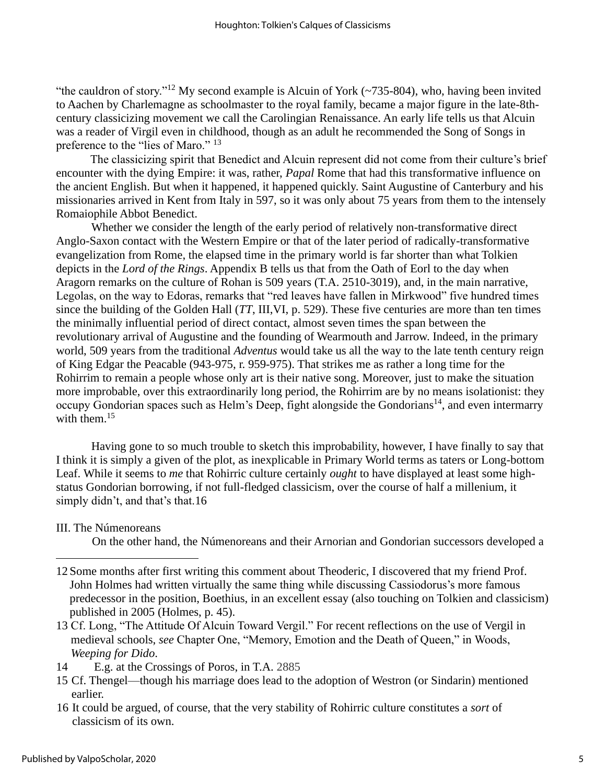"the cauldron of story."<sup>12</sup> My second example is Alcuin of York ( $\sim$ 735-804), who, having been invited to Aachen by Charlemagne as schoolmaster to the royal family, became a major figure in the late-8thcentury classicizing movement we call the Carolingian Renaissance. An early life tells us that Alcuin was a reader of Virgil even in childhood, though as an adult he recommended the Song of Songs in preference to the "lies of Maro." 13

The classicizing spirit that Benedict and Alcuin represent did not come from their culture's brief encounter with the dying Empire: it was, rather, *Papal* Rome that had this transformative influence on the ancient English. But when it happened, it happened quickly. Saint Augustine of Canterbury and his missionaries arrived in Kent from Italy in 597, so it was only about 75 years from them to the intensely Romaiophile Abbot Benedict.

Whether we consider the length of the early period of relatively non-transformative direct Anglo-Saxon contact with the Western Empire or that of the later period of radically-transformative evangelization from Rome, the elapsed time in the primary world is far shorter than what Tolkien depicts in the *Lord of the Rings*. Appendix B tells us that from the Oath of Eorl to the day when Aragorn remarks on the culture of Rohan is 509 years (T.A. 2510-3019), and, in the main narrative, Legolas, on the way to Edoras, remarks that "red leaves have fallen in Mirkwood" five hundred times since the building of the Golden Hall (*TT*, III,VI, p. 529). These five centuries are more than ten times the minimally influential period of direct contact, almost seven times the span between the revolutionary arrival of Augustine and the founding of Wearmouth and Jarrow. Indeed, in the primary world, 509 years from the traditional *Adventus* would take us all the way to the late tenth century reign of King Edgar the Peacable (943-975, r. 959-975). That strikes me as rather a long time for the Rohirrim to remain a people whose only art is their native song. Moreover, just to make the situation more improbable, over this extraordinarily long period, the Rohirrim are by no means isolationist: they occupy Gondorian spaces such as Helm's Deep, fight alongside the Gondorians<sup>14</sup>, and even intermarry with them  $15$ 

Having gone to so much trouble to sketch this improbability, however, I have finally to say that I think it is simply a given of the plot, as inexplicable in Primary World terms as taters or Long-bottom Leaf. While it seems to *me* that Rohirric culture certainly *ought* to have displayed at least some highstatus Gondorian borrowing, if not full-fledged classicism, over the course of half a millenium, it simply didn't, and that's that.16

III. The Númenoreans

On the other hand, the Númenoreans and their Arnorian and Gondorian successors developed a

16 It could be argued, of course, that the very stability of Rohirric culture constitutes a *sort* of classicism of its own.

<sup>12</sup> Some months after first writing this comment about Theoderic, I discovered that my friend Prof. John Holmes had written virtually the same thing while discussing Cassiodorus's more famous predecessor in the position, Boethius, in an excellent essay (also touching on Tolkien and classicism) published in 2005 (Holmes, p. 45).

<sup>13</sup> Cf. Long, "The Attitude Of Alcuin Toward Vergil." For recent reflections on the use of Vergil in medieval schools, *see* Chapter One, "Memory, Emotion and the Death of Queen," in Woods, *Weeping for Dido*.

<sup>14</sup> E.g. at the Crossings of Poros, in T.A. 2885

<sup>15</sup> Cf. Thengel—though his marriage does lead to the adoption of Westron (or Sindarin) mentioned earlier.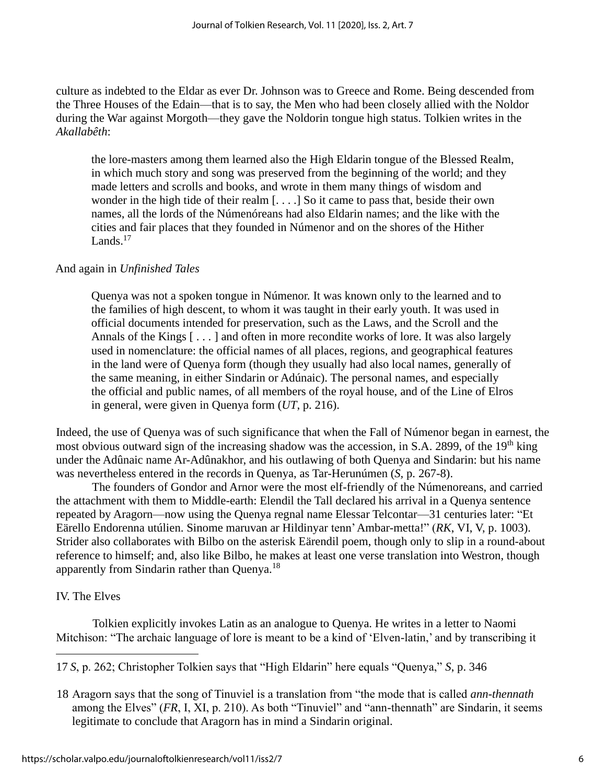culture as indebted to the Eldar as ever Dr. Johnson was to Greece and Rome. Being descended from the Three Houses of the Edain—that is to say, the Men who had been closely allied with the Noldor during the War against Morgoth—they gave the Noldorin tongue high status. Tolkien writes in the *Akallabêth*:

the lore-masters among them learned also the High Eldarin tongue of the Blessed Realm, in which much story and song was preserved from the beginning of the world; and they made letters and scrolls and books, and wrote in them many things of wisdom and wonder in the high tide of their realm [. . . .] So it came to pass that, beside their own names, all the lords of the Númenóreans had also Eldarin names; and the like with the cities and fair places that they founded in Númenor and on the shores of the Hither Lands. $17$ 

#### And again in *Unfinished Tales*

Quenya was not a spoken tongue in Númenor. It was known only to the learned and to the families of high descent, to whom it was taught in their early youth. It was used in official documents intended for preservation, such as the Laws, and the Scroll and the Annals of the Kings  $[\dots]$  and often in more recondite works of lore. It was also largely used in nomenclature: the official names of all places, regions, and geographical features in the land were of Quenya form (though they usually had also local names, generally of the same meaning, in either Sindarin or Adúnaic). The personal names, and especially the official and public names, of all members of the royal house, and of the Line of Elros in general, were given in Quenya form (*UT*, p. 216).

Indeed, the use of Quenya was of such significance that when the Fall of Númenor began in earnest, the most obvious outward sign of the increasing shadow was the accession, in S.A. 2899, of the 19<sup>th</sup> king under the Adûnaic name Ar-Adûnakhor, and his outlawing of both Quenya and Sindarin: but his name was nevertheless entered in the records in Quenya, as Tar-Herunúmen (*S,* p. 267-8).

The founders of Gondor and Arnor were the most elf-friendly of the Númenoreans, and carried the attachment with them to Middle-earth: Elendil the Tall declared his arrival in a Quenya sentence repeated by Aragorn—now using the Quenya regnal name Elessar Telcontar—31 centuries later: "Et Eärello Endorenna utúlien. Sinome maruvan ar Hildinyar tenn' Ambar-metta!" (*RK*, VI, V, p. 1003). Strider also collaborates with Bilbo on the asterisk Eärendil poem, though only to slip in a round-about reference to himself; and, also like Bilbo, he makes at least one verse translation into Westron, though apparently from Sindarin rather than Quenya.<sup>18</sup>

#### IV. The Elves

Tolkien explicitly invokes Latin as an analogue to Quenya. He writes in a letter to Naomi Mitchison: "The archaic language of lore is meant to be a kind of 'Elven-latin,' and by transcribing it

17 *S*, p. 262; Christopher Tolkien says that "High Eldarin" here equals "Quenya," *S*, p. 346

18 Aragorn says that the song of Tinuviel is a translation from "the mode that is called *ann-thennath* among the Elves" (*FR*, I, XI, p. 210). As both "Tinuviel" and "ann-thennath" are Sindarin, it seems legitimate to conclude that Aragorn has in mind a Sindarin original.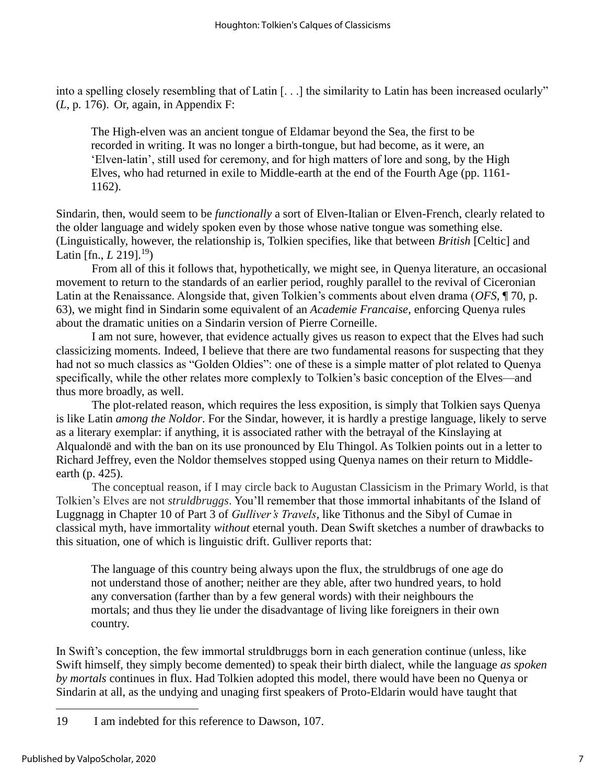into a spelling closely resembling that of Latin [. . .] the similarity to Latin has been increased ocularly" (*L*, p*.* 176). Or, again, in Appendix F:

The High-elven was an ancient tongue of Eldamar beyond the Sea, the first to be recorded in writing. It was no longer a birth-tongue, but had become, as it were, an 'Elven-latin', still used for ceremony, and for high matters of lore and song, by the High Elves, who had returned in exile to Middle-earth at the end of the Fourth Age (pp. 1161- 1162).

Sindarin, then, would seem to be *functionally* a sort of Elven-Italian or Elven-French, clearly related to the older language and widely spoken even by those whose native tongue was something else. (Linguistically, however, the relationship is, Tolkien specifies, like that between *British* [Celtic] and Latin [fn., *L* 219].<sup>19</sup>)

From all of this it follows that, hypothetically, we might see, in Quenya literature, an occasional movement to return to the standards of an earlier period, roughly parallel to the revival of Ciceronian Latin at the Renaissance. Alongside that, given Tolkien's comments about elven drama (*OFS*, ¶ 70, p. 63), we might find in Sindarin some equivalent of an *Academie Francaise*, enforcing Quenya rules about the dramatic unities on a Sindarin version of Pierre Corneille.

I am not sure, however, that evidence actually gives us reason to expect that the Elves had such classicizing moments. Indeed, I believe that there are two fundamental reasons for suspecting that they had not so much classics as "Golden Oldies": one of these is a simple matter of plot related to Quenya specifically, while the other relates more complexly to Tolkien's basic conception of the Elves—and thus more broadly, as well.

The plot-related reason, which requires the less exposition, is simply that Tolkien says Quenya is like Latin *among the Noldor*. For the Sindar, however, it is hardly a prestige language, likely to serve as a literary exemplar: if anything, it is associated rather with the betrayal of the Kinslaying at Alqualondë and with the ban on its use pronounced by Elu Thingol. As Tolkien points out in a letter to Richard Jeffrey, even the Noldor themselves stopped using Quenya names on their return to Middleearth (p. 425).

The conceptual reason, if I may circle back to Augustan Classicism in the Primary World, is that Tolkien's Elves are not *struldbruggs*. You'll remember that those immortal inhabitants of the Island of Luggnagg in Chapter 10 of Part 3 of *Gulliver's Travels*, like Tithonus and the Sibyl of Cumae in classical myth, have immortality *without* eternal youth. Dean Swift sketches a number of drawbacks to this situation, one of which is linguistic drift. Gulliver reports that:

The language of this country being always upon the flux, the struldbrugs of one age do not understand those of another; neither are they able, after two hundred years, to hold any conversation (farther than by a few general words) with their neighbours the mortals; and thus they lie under the disadvantage of living like foreigners in their own country.

In Swift's conception, the few immortal struldbruggs born in each generation continue (unless, like Swift himself, they simply become demented) to speak their birth dialect, while the language *as spoken by mortals* continues in flux. Had Tolkien adopted this model, there would have been no Quenya or Sindarin at all, as the undying and unaging first speakers of Proto-Eldarin would have taught that

<sup>19</sup> I am indebted for this reference to Dawson, 107.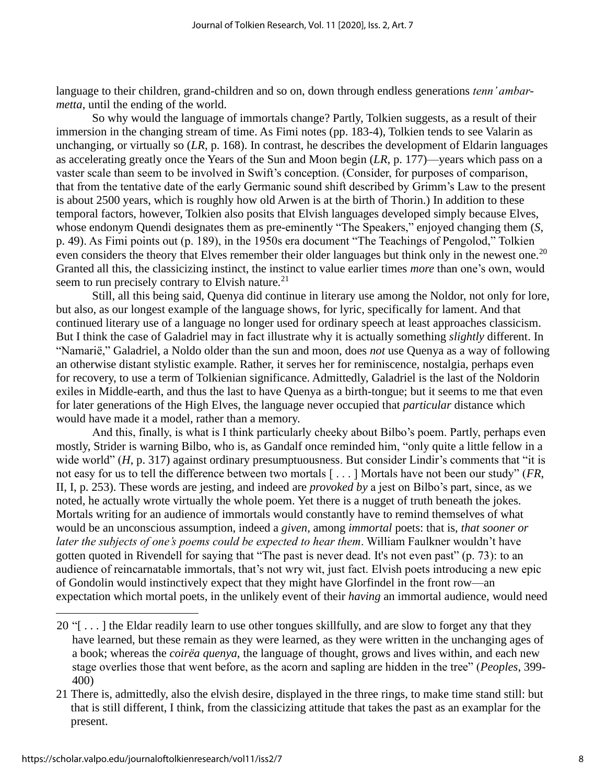language to their children, grand-children and so on, down through endless generations *tenn' ambarmetta*, until the ending of the world.

So why would the language of immortals change? Partly, Tolkien suggests, as a result of their immersion in the changing stream of time. As Fimi notes (pp. 183-4), Tolkien tends to see Valarin as unchanging, or virtually so (*LR,* p. 168). In contrast, he describes the development of Eldarin languages as accelerating greatly once the Years of the Sun and Moon begin (*LR*, p. 177)—years which pass on a vaster scale than seem to be involved in Swift's conception. (Consider, for purposes of comparison, that from the tentative date of the early Germanic sound shift described by Grimm's Law to the present is about 2500 years, which is roughly how old Arwen is at the birth of Thorin.) In addition to these temporal factors, however, Tolkien also posits that Elvish languages developed simply because Elves, whose endonym Quendi designates them as pre-eminently "The Speakers," enjoyed changing them (*S*, p. 49). As Fimi points out (p. 189), in the 1950s era document "The Teachings of Pengolod," Tolkien even considers the theory that Elves remember their older languages but think only in the newest one.<sup>20</sup> Granted all this, the classicizing instinct, the instinct to value earlier times *more* than one's own, would seem to run precisely contrary to Elvish nature.<sup>21</sup>

Still, all this being said, Quenya did continue in literary use among the Noldor, not only for lore, but also, as our longest example of the language shows, for lyric, specifically for lament. And that continued literary use of a language no longer used for ordinary speech at least approaches classicism. But I think the case of Galadriel may in fact illustrate why it is actually something *slightly* different. In "Namarië," Galadriel, a Noldo older than the sun and moon, does *not* use Quenya as a way of following an otherwise distant stylistic example. Rather, it serves her for reminiscence, nostalgia, perhaps even for recovery, to use a term of Tolkienian significance. Admittedly, Galadriel is the last of the Noldorin exiles in Middle-earth, and thus the last to have Quenya as a birth-tongue; but it seems to me that even for later generations of the High Elves, the language never occupied that *particular* distance which would have made it a model, rather than a memory.

And this, finally, is what is I think particularly cheeky about Bilbo's poem. Partly, perhaps even mostly, Strider is warning Bilbo, who is, as Gandalf once reminded him, "only quite a little fellow in a wide world" (*H*, p. 317) against ordinary presumptuousness. But consider Lindir's comments that "it is not easy for us to tell the difference between two mortals [ . . . ] Mortals have not been our study" (*FR*, II, I, p. 253). These words are jesting, and indeed are *provoked by* a jest on Bilbo's part, since, as we noted, he actually wrote virtually the whole poem. Yet there is a nugget of truth beneath the jokes. Mortals writing for an audience of immortals would constantly have to remind themselves of what would be an unconscious assumption, indeed a *given*, among *immortal* poets: that is, *that sooner or later the subjects of one's poems could be expected to hear them*. William Faulkner wouldn't have gotten quoted in Rivendell for saying that "The past is never dead. It's not even past" (p. 73): to an audience of reincarnatable immortals, that's not wry wit, just fact. Elvish poets introducing a new epic of Gondolin would instinctively expect that they might have Glorfindel in the front row—an expectation which mortal poets, in the unlikely event of their *having* an immortal audience, would need

<sup>20</sup> "[ . . . ] the Eldar readily learn to use other tongues skillfully, and are slow to forget any that they have learned, but these remain as they were learned, as they were written in the unchanging ages of a book; whereas the *coirëa quenya*, the language of thought, grows and lives within, and each new stage overlies those that went before, as the acorn and sapling are hidden in the tree" (*Peoples*, 399- 400)

<sup>21</sup> There is, admittedly, also the elvish desire, displayed in the three rings, to make time stand still: but that is still different, I think, from the classicizing attitude that takes the past as an examplar for the present.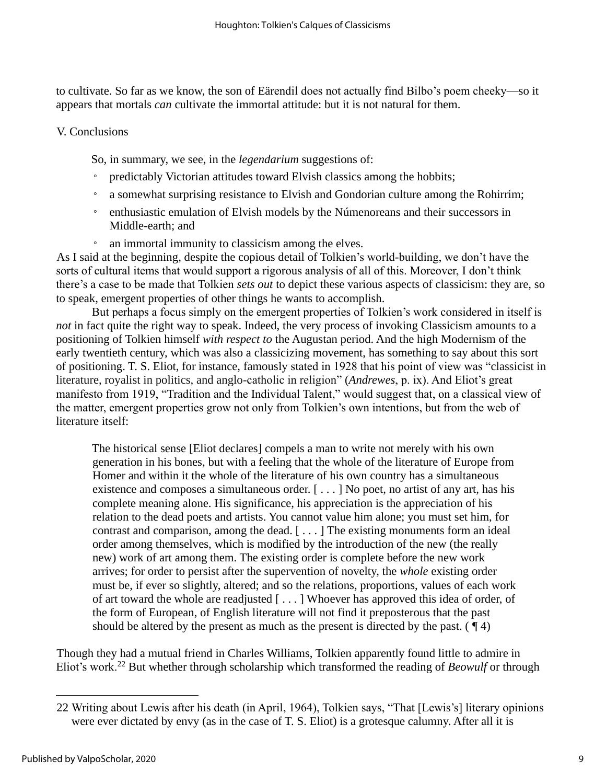to cultivate. So far as we know, the son of Eärendil does not actually find Bilbo's poem cheeky—so it appears that mortals *can* cultivate the immortal attitude: but it is not natural for them.

#### V. Conclusions

So, in summary, we see, in the *legendarium* suggestions of:

- predictably Victorian attitudes toward Elvish classics among the hobbits;
- a somewhat surprising resistance to Elvish and Gondorian culture among the Rohirrim;
- enthusiastic emulation of Elvish models by the Númenoreans and their successors in Middle-earth; and
- an immortal immunity to classicism among the elves.

As I said at the beginning, despite the copious detail of Tolkien's world-building, we don't have the sorts of cultural items that would support a rigorous analysis of all of this. Moreover, I don't think there's a case to be made that Tolkien *sets out* to depict these various aspects of classicism: they are, so to speak, emergent properties of other things he wants to accomplish.

But perhaps a focus simply on the emergent properties of Tolkien's work considered in itself is *not* in fact quite the right way to speak. Indeed, the very process of invoking Classicism amounts to a positioning of Tolkien himself *with respect to* the Augustan period. And the high Modernism of the early twentieth century, which was also a classicizing movement, has something to say about this sort of positioning. T. S. Eliot, for instance, famously stated in 1928 that his point of view was "classicist in literature, royalist in politics, and anglo-catholic in religion" (*Andrewes*, p. ix). And Eliot's great manifesto from 1919, "Tradition and the Individual Talent," would suggest that, on a classical view of the matter, emergent properties grow not only from Tolkien's own intentions, but from the web of literature itself:

The historical sense [Eliot declares] compels a man to write not merely with his own generation in his bones, but with a feeling that the whole of the literature of Europe from Homer and within it the whole of the literature of his own country has a simultaneous existence and composes a simultaneous order. [ . . . ] No poet, no artist of any art, has his complete meaning alone. His significance, his appreciation is the appreciation of his relation to the dead poets and artists. You cannot value him alone; you must set him, for contrast and comparison, among the dead. [ . . . ] The existing monuments form an ideal order among themselves, which is modified by the introduction of the new (the really new) work of art among them. The existing order is complete before the new work arrives; for order to persist after the supervention of novelty, the *whole* existing order must be, if ever so slightly, altered; and so the relations, proportions, values of each work of art toward the whole are readjusted [ . . . ] Whoever has approved this idea of order, of the form of European, of English literature will not find it preposterous that the past should be altered by the present as much as the present is directed by the past.  $(\P 4)$ 

Though they had a mutual friend in Charles Williams, Tolkien apparently found little to admire in Eliot's work.<sup>22</sup> But whether through scholarship which transformed the reading of *Beowulf* or through

<sup>22</sup> Writing about Lewis after his death (in April, 1964), Tolkien says, "That [Lewis's] literary opinions were ever dictated by envy (as in the case of T. S. Eliot) is a grotesque calumny. After all it is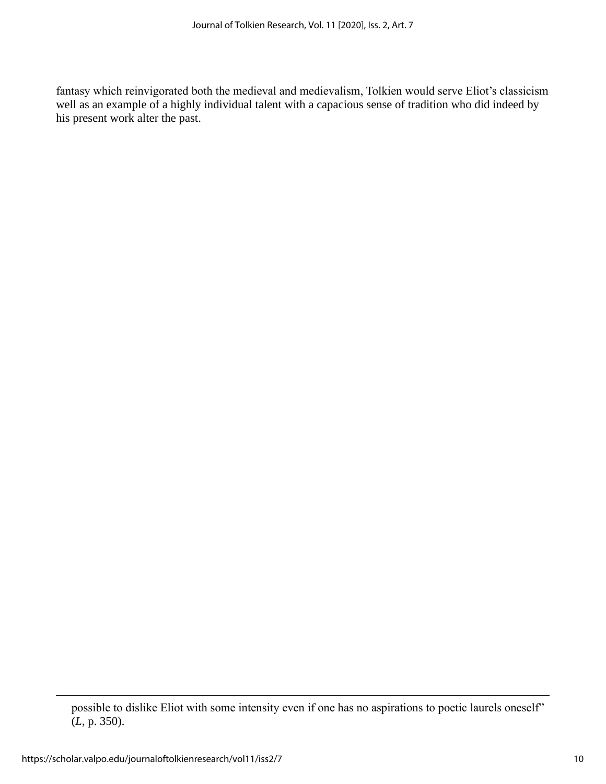fantasy which reinvigorated both the medieval and medievalism, Tolkien would serve Eliot's classicism well as an example of a highly individual talent with a capacious sense of tradition who did indeed by his present work alter the past.

possible to dislike Eliot with some intensity even if one has no aspirations to poetic laurels oneself" (*L*, p. 350).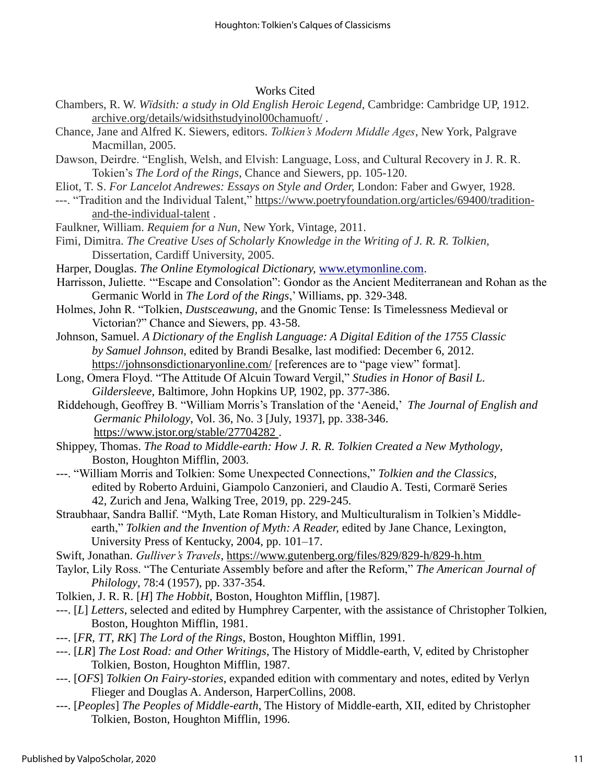#### Works Cited

- Chambers, R. W. *Wïdsith: a study in Old English Heroic Legend*, Cambridge: Cambridge UP, 1912. [archive.org/details/widsithstudyinol00chamuoft/](http://archive.org/details/widsithstudyinol00chamuoft/) .
- Chance, Jane and Alfred K. Siewers, editors. *Tolkien's Modern Middle Ages*, New York, Palgrave Macmillan, 2005.
- Dawson, Deirdre. "English, Welsh, and Elvish: Language, Loss, and Cultural Recovery in J. R. R. Tokien's *The Lord of the Rings*, Chance and Siewers, pp. 105-120.
- Eliot, T. S. *For Lancelot Andrewes: Essays on Style and Order,* London: Faber and Gwyer, 1928.
- ---. "Tradition and the Individual Talent," [https://www.poetryfoundation.org/articles/69400/tradition](https://www.poetryfoundation.org/articles/69400/tradition-and-the-individual-talent)[and-the-individual-talent](https://www.poetryfoundation.org/articles/69400/tradition-and-the-individual-talent) .
- Faulkner, William. *Requiem for a Nun,* New York, Vintage, 2011.
- Fimi, Dimitra. *The Creative Uses of Scholarly Knowledge in the Writing of J. R. R. Tolkien,*  Dissertation, Cardiff University, 2005.

Harper, Douglas. *The Online Etymological Dictionary,* [www.etymonline.com.](http://www.etymonline.com/)

- Harrisson, Juliette. '"Escape and Consolation": Gondor as the Ancient Mediterranean and Rohan as the Germanic World in *The Lord of the Rings*,' Williams, pp. 329-348.
- Holmes, John R. "Tolkien, *Dustsceawung*, and the Gnomic Tense: Is Timelessness Medieval or Victorian?" Chance and Siewers, pp. 43-58.
- Johnson, Samuel. *A Dictionary of the English Language: A Digital Edition of the 1755 Classic by Samuel Johnson*, edited by Brandi Besalke, last modified: December 6, 2012. <https://johnsonsdictionaryonline.com/> [references are to "page view" format].
- Long, Omera Floyd. "The Attitude Of Alcuin Toward Vergil," *Studies in Honor of Basil L. Gildersleeve,* Baltimore, John Hopkins UP, 1902, pp. 377-386.
- Riddehough, Geoffrey B. "William Morris's Translation of the 'Aeneid,' *The Journal of English and Germanic Philology*, Vol. 36, No. 3 [July, 1937], pp. 338-346. <https://www.jstor.org/stable/27704282> .
- Shippey, Thomas. *The Road to Middle-earth: How J. R. R. Tolkien Created a New Mythology*, Boston, Houghton Mifflin, 2003.
- ---. "William Morris and Tolkien: Some Unexpected Connections," *Tolkien and the Classics*, edited by Roberto Arduini, Giampolo Canzonieri, and Claudio A. Testi, Cormarë Series 42, Zurich and Jena, Walking Tree, 2019, pp. 229-245.
- Straubhaar, Sandra Ballif. "Myth, Late Roman History, and Multiculturalism in Tolkien's Middleearth," *Tolkien and the Invention of Myth: A Reader,* edited by Jane Chance, Lexington, University Press of Kentucky, 2004, pp. 101–17.
- Swift, Jonathan. *Gulliver's Travels*, <https://www.gutenberg.org/files/829/829-h/829-h.htm>
- Taylor, Lily Ross. "The Centuriate Assembly before and after the Reform," *The American Journal of Philology*, 78:4 (1957), pp. 337-354.
- Tolkien, J. R. R. [*H*] *The Hobbit*, Boston, Houghton Mifflin, [1987].
- ---. [*L*] *Letters*, selected and edited by Humphrey Carpenter, with the assistance of Christopher Tolkien, Boston, Houghton Mifflin, 1981.
- ---. [*FR*, *TT*, *RK*] *The Lord of the Rings*, Boston, Houghton Mifflin, 1991.
- ---. [*LR*] *The Lost Road: and Other Writings*, The History of Middle-earth, V, edited by Christopher Tolkien, Boston, Houghton Mifflin, 1987.
- ---. [*OFS*] *Tolkien On Fairy-stories*, expanded edition with commentary and notes, edited by Verlyn Flieger and Douglas A. Anderson, HarperCollins, 2008.
- ---. [*Peoples*] *The Peoples of Middle-earth*, The History of Middle-earth, XII, edited by Christopher Tolkien, Boston, Houghton Mifflin, 1996.